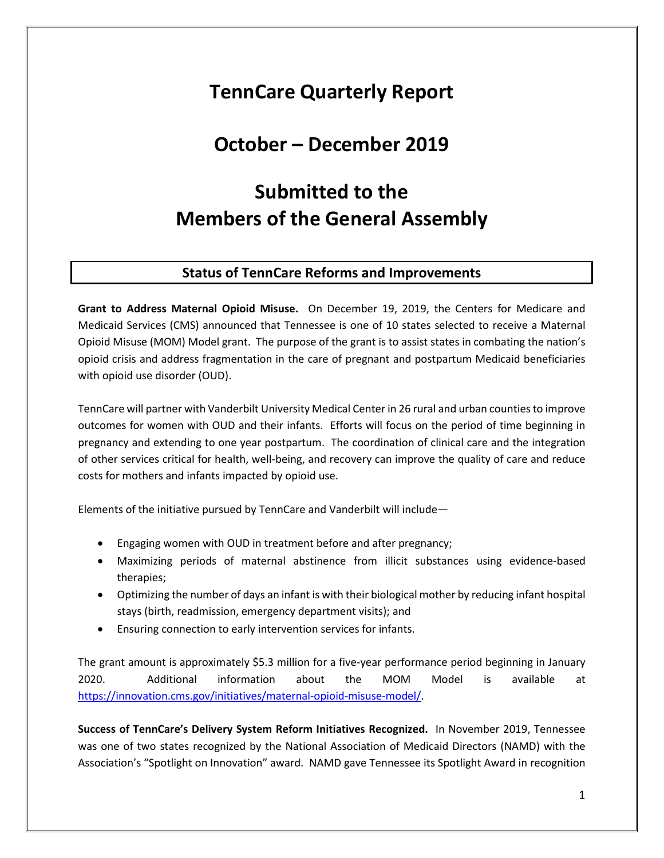## **TennCare Quarterly Report**

## **October – December 2019**

# **Submitted to the Members of the General Assembly**

#### **Status of TennCare Reforms and Improvements**

**Grant to Address Maternal Opioid Misuse.** On December 19, 2019, the Centers for Medicare and Medicaid Services (CMS) announced that Tennessee is one of 10 states selected to receive a Maternal Opioid Misuse (MOM) Model grant. The purpose of the grant is to assist states in combating the nation's opioid crisis and address fragmentation in the care of pregnant and postpartum Medicaid beneficiaries with opioid use disorder (OUD).

TennCare will partner with Vanderbilt University Medical Center in 26 rural and urban counties to improve outcomes for women with OUD and their infants. Efforts will focus on the period of time beginning in pregnancy and extending to one year postpartum. The coordination of clinical care and the integration of other services critical for health, well-being, and recovery can improve the quality of care and reduce costs for mothers and infants impacted by opioid use.

Elements of the initiative pursued by TennCare and Vanderbilt will include—

- Engaging women with OUD in treatment before and after pregnancy;
- Maximizing periods of maternal abstinence from illicit substances using evidence-based therapies;
- Optimizing the number of days an infant is with their biological mother by reducing infant hospital stays (birth, readmission, emergency department visits); and
- Ensuring connection to early intervention services for infants.

The grant amount is approximately \$5.3 million for a five-year performance period beginning in January 2020. Additional information about the MOM Model is available at [https://innovation.cms.gov/initiatives/maternal-opioid-misuse-model/.](https://innovation.cms.gov/initiatives/maternal-opioid-misuse-model/)

**Success of TennCare's Delivery System Reform Initiatives Recognized.** In November 2019, Tennessee was one of two states recognized by the National Association of Medicaid Directors (NAMD) with the Association's "Spotlight on Innovation" award. NAMD gave Tennessee its Spotlight Award in recognition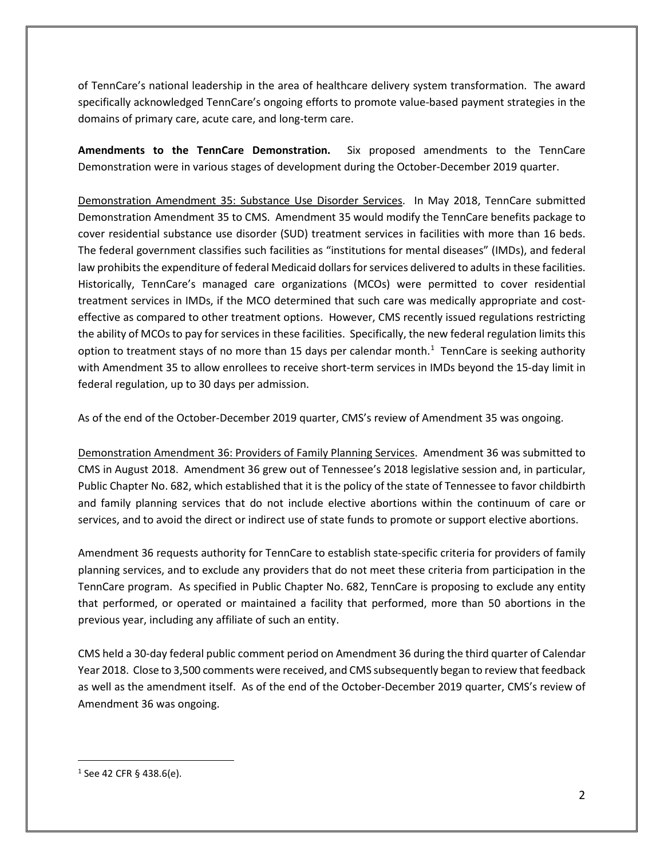of TennCare's national leadership in the area of healthcare delivery system transformation. The award specifically acknowledged TennCare's ongoing efforts to promote value-based payment strategies in the domains of primary care, acute care, and long-term care.

**Amendments to the TennCare Demonstration.** Six proposed amendments to the TennCare Demonstration were in various stages of development during the October-December 2019 quarter.

Demonstration Amendment 35: Substance Use Disorder Services. In May 2018, TennCare submitted Demonstration Amendment 35 to CMS. Amendment 35 would modify the TennCare benefits package to cover residential substance use disorder (SUD) treatment services in facilities with more than 16 beds. The federal government classifies such facilities as "institutions for mental diseases" (IMDs), and federal law prohibits the expenditure of federal Medicaid dollars for services delivered to adults in these facilities. Historically, TennCare's managed care organizations (MCOs) were permitted to cover residential treatment services in IMDs, if the MCO determined that such care was medically appropriate and costeffective as compared to other treatment options. However, CMS recently issued regulations restricting the ability of MCOs to pay for services in these facilities. Specifically, the new federal regulation limits this option to treatment stays of no more than [1](#page-1-0)5 days per calendar month.<sup>1</sup> TennCare is seeking authority with Amendment 35 to allow enrollees to receive short-term services in IMDs beyond the 15-day limit in federal regulation, up to 30 days per admission.

As of the end of the October-December 2019 quarter, CMS's review of Amendment 35 was ongoing.

Demonstration Amendment 36: Providers of Family Planning Services. Amendment 36 was submitted to CMS in August 2018. Amendment 36 grew out of Tennessee's 2018 legislative session and, in particular, Public Chapter No. 682, which established that it is the policy of the state of Tennessee to favor childbirth and family planning services that do not include elective abortions within the continuum of care or services, and to avoid the direct or indirect use of state funds to promote or support elective abortions.

Amendment 36 requests authority for TennCare to establish state-specific criteria for providers of family planning services, and to exclude any providers that do not meet these criteria from participation in the TennCare program. As specified in Public Chapter No. 682, TennCare is proposing to exclude any entity that performed, or operated or maintained a facility that performed, more than 50 abortions in the previous year, including any affiliate of such an entity.

CMS held a 30-day federal public comment period on Amendment 36 during the third quarter of Calendar Year 2018. Close to 3,500 comments were received, and CMS subsequently began to review that feedback as well as the amendment itself. As of the end of the October-December 2019 quarter, CMS's review of Amendment 36 was ongoing.

<span id="page-1-0"></span> $1$  See 42 CFR § 438.6(e).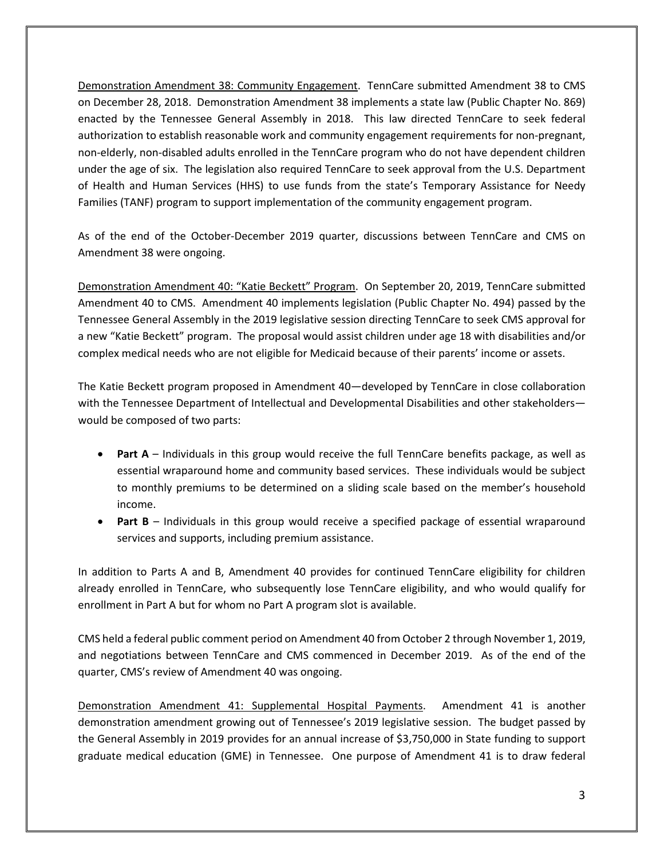Demonstration Amendment 38: Community Engagement. TennCare submitted Amendment 38 to CMS on December 28, 2018. Demonstration Amendment 38 implements a state law (Public Chapter No. 869) enacted by the Tennessee General Assembly in 2018. This law directed TennCare to seek federal authorization to establish reasonable work and community engagement requirements for non-pregnant, non-elderly, non-disabled adults enrolled in the TennCare program who do not have dependent children under the age of six. The legislation also required TennCare to seek approval from the U.S. Department of Health and Human Services (HHS) to use funds from the state's Temporary Assistance for Needy Families (TANF) program to support implementation of the community engagement program.

As of the end of the October-December 2019 quarter, discussions between TennCare and CMS on Amendment 38 were ongoing.

Demonstration Amendment 40: "Katie Beckett" Program. On September 20, 2019, TennCare submitted Amendment 40 to CMS. Amendment 40 implements legislation (Public Chapter No. 494) passed by the Tennessee General Assembly in the 2019 legislative session directing TennCare to seek CMS approval for a new "Katie Beckett" program. The proposal would assist children under age 18 with disabilities and/or complex medical needs who are not eligible for Medicaid because of their parents' income or assets.

The Katie Beckett program proposed in Amendment 40—developed by TennCare in close collaboration with the Tennessee Department of Intellectual and Developmental Disabilities and other stakeholders would be composed of two parts:

- **Part A** Individuals in this group would receive the full TennCare benefits package, as well as essential wraparound home and community based services. These individuals would be subject to monthly premiums to be determined on a sliding scale based on the member's household income.
- **Part B** Individuals in this group would receive a specified package of essential wraparound services and supports, including premium assistance.

In addition to Parts A and B, Amendment 40 provides for continued TennCare eligibility for children already enrolled in TennCare, who subsequently lose TennCare eligibility, and who would qualify for enrollment in Part A but for whom no Part A program slot is available.

CMS held a federal public comment period on Amendment 40 from October 2 through November 1, 2019, and negotiations between TennCare and CMS commenced in December 2019. As of the end of the quarter, CMS's review of Amendment 40 was ongoing.

Demonstration Amendment 41: Supplemental Hospital Payments. Amendment 41 is another demonstration amendment growing out of Tennessee's 2019 legislative session. The budget passed by the General Assembly in 2019 provides for an annual increase of \$3,750,000 in State funding to support graduate medical education (GME) in Tennessee. One purpose of Amendment 41 is to draw federal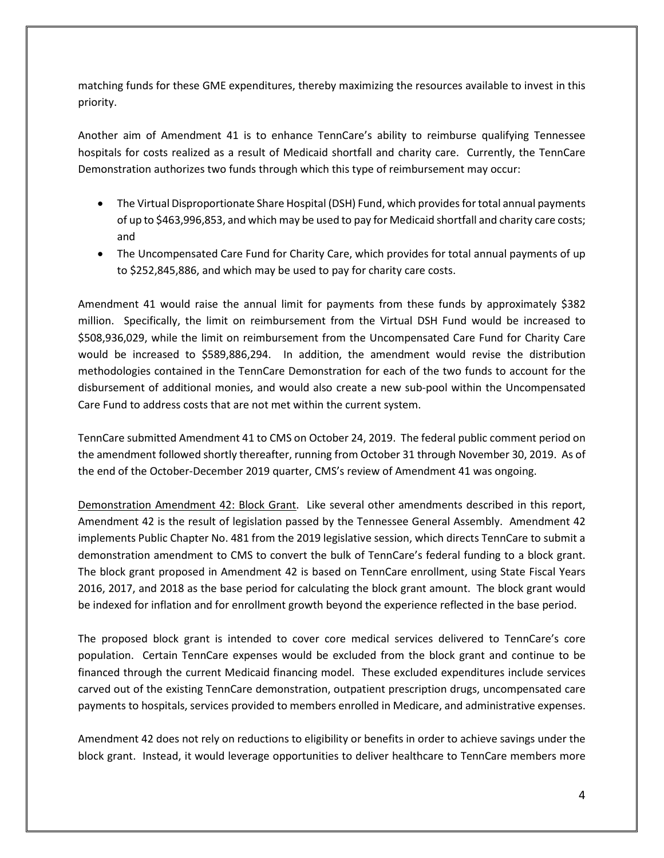matching funds for these GME expenditures, thereby maximizing the resources available to invest in this priority.

Another aim of Amendment 41 is to enhance TennCare's ability to reimburse qualifying Tennessee hospitals for costs realized as a result of Medicaid shortfall and charity care. Currently, the TennCare Demonstration authorizes two funds through which this type of reimbursement may occur:

- The Virtual Disproportionate Share Hospital (DSH) Fund, which provides for total annual payments of up to \$463,996,853, and which may be used to pay for Medicaid shortfall and charity care costs; and
- The Uncompensated Care Fund for Charity Care, which provides for total annual payments of up to \$252,845,886, and which may be used to pay for charity care costs.

Amendment 41 would raise the annual limit for payments from these funds by approximately \$382 million. Specifically, the limit on reimbursement from the Virtual DSH Fund would be increased to \$508,936,029, while the limit on reimbursement from the Uncompensated Care Fund for Charity Care would be increased to \$589,886,294. In addition, the amendment would revise the distribution methodologies contained in the TennCare Demonstration for each of the two funds to account for the disbursement of additional monies, and would also create a new sub-pool within the Uncompensated Care Fund to address costs that are not met within the current system.

TennCare submitted Amendment 41 to CMS on October 24, 2019. The federal public comment period on the amendment followed shortly thereafter, running from October 31 through November 30, 2019. As of the end of the October-December 2019 quarter, CMS's review of Amendment 41 was ongoing.

Demonstration Amendment 42: Block Grant. Like several other amendments described in this report, Amendment 42 is the result of legislation passed by the Tennessee General Assembly. Amendment 42 implements Public Chapter No. 481 from the 2019 legislative session, which directs TennCare to submit a demonstration amendment to CMS to convert the bulk of TennCare's federal funding to a block grant. The block grant proposed in Amendment 42 is based on TennCare enrollment, using State Fiscal Years 2016, 2017, and 2018 as the base period for calculating the block grant amount. The block grant would be indexed for inflation and for enrollment growth beyond the experience reflected in the base period.

The proposed block grant is intended to cover core medical services delivered to TennCare's core population. Certain TennCare expenses would be excluded from the block grant and continue to be financed through the current Medicaid financing model. These excluded expenditures include services carved out of the existing TennCare demonstration, outpatient prescription drugs, uncompensated care payments to hospitals, services provided to members enrolled in Medicare, and administrative expenses.

Amendment 42 does not rely on reductions to eligibility or benefits in order to achieve savings under the block grant. Instead, it would leverage opportunities to deliver healthcare to TennCare members more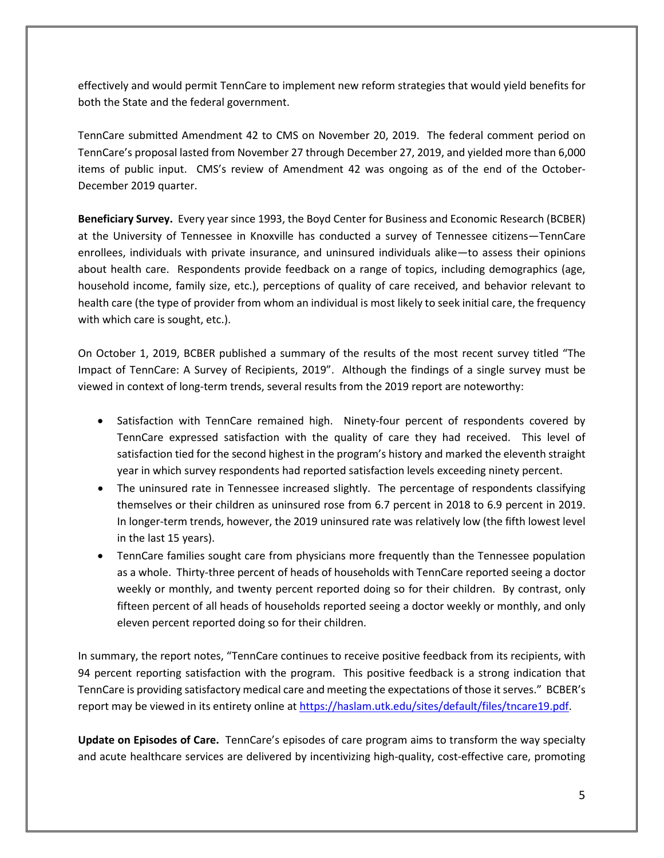effectively and would permit TennCare to implement new reform strategies that would yield benefits for both the State and the federal government.

TennCare submitted Amendment 42 to CMS on November 20, 2019. The federal comment period on TennCare's proposal lasted from November 27 through December 27, 2019, and yielded more than 6,000 items of public input. CMS's review of Amendment 42 was ongoing as of the end of the October-December 2019 quarter.

**Beneficiary Survey.** Every year since 1993, the Boyd Center for Business and Economic Research (BCBER) at the University of Tennessee in Knoxville has conducted a survey of Tennessee citizens—TennCare enrollees, individuals with private insurance, and uninsured individuals alike—to assess their opinions about health care. Respondents provide feedback on a range of topics, including demographics (age, household income, family size, etc.), perceptions of quality of care received, and behavior relevant to health care (the type of provider from whom an individual is most likely to seek initial care, the frequency with which care is sought, etc.).

On October 1, 2019, BCBER published a summary of the results of the most recent survey titled "The Impact of TennCare: A Survey of Recipients, 2019". Although the findings of a single survey must be viewed in context of long-term trends, several results from the 2019 report are noteworthy:

- Satisfaction with TennCare remained high. Ninety-four percent of respondents covered by TennCare expressed satisfaction with the quality of care they had received. This level of satisfaction tied for the second highest in the program's history and marked the eleventh straight year in which survey respondents had reported satisfaction levels exceeding ninety percent.
- The uninsured rate in Tennessee increased slightly. The percentage of respondents classifying themselves or their children as uninsured rose from 6.7 percent in 2018 to 6.9 percent in 2019. In longer-term trends, however, the 2019 uninsured rate was relatively low (the fifth lowest level in the last 15 years).
- TennCare families sought care from physicians more frequently than the Tennessee population as a whole. Thirty-three percent of heads of households with TennCare reported seeing a doctor weekly or monthly, and twenty percent reported doing so for their children. By contrast, only fifteen percent of all heads of households reported seeing a doctor weekly or monthly, and only eleven percent reported doing so for their children.

In summary, the report notes, "TennCare continues to receive positive feedback from its recipients, with 94 percent reporting satisfaction with the program. This positive feedback is a strong indication that TennCare is providing satisfactory medical care and meeting the expectations of those it serves." BCBER's report may be viewed in its entirety online at [https://haslam.utk.edu/sites/default/files/tncare19.pdf.](https://haslam.utk.edu/sites/default/files/tncare19.pdf)

**Update on Episodes of Care.** TennCare's episodes of care program aims to transform the way specialty and acute healthcare services are delivered by incentivizing high-quality, cost-effective care, promoting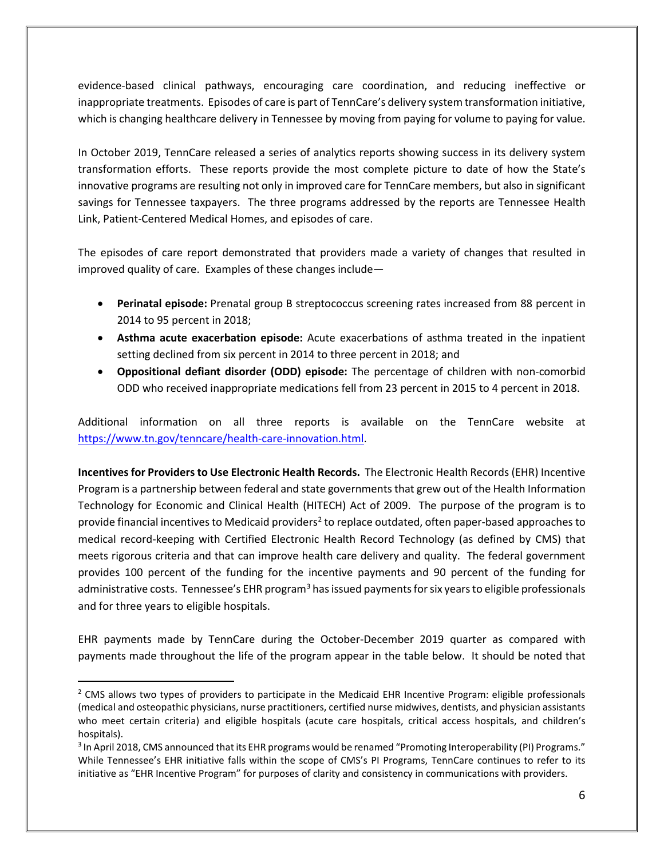evidence-based clinical pathways, encouraging care coordination, and reducing ineffective or inappropriate treatments. Episodes of care is part of TennCare's delivery system transformation initiative, which is changing healthcare delivery in Tennessee by moving from paying for volume to paying for value.

In October 2019, TennCare released a series of analytics reports showing success in its delivery system transformation efforts. These reports provide the most complete picture to date of how the State's innovative programs are resulting not only in improved care for TennCare members, but also in significant savings for Tennessee taxpayers. The three programs addressed by the reports are Tennessee Health Link, Patient-Centered Medical Homes, and episodes of care.

The episodes of care report demonstrated that providers made a variety of changes that resulted in improved quality of care. Examples of these changes include—

- **Perinatal episode:** Prenatal group B streptococcus screening rates increased from 88 percent in 2014 to 95 percent in 2018;
- **Asthma acute exacerbation episode:** Acute exacerbations of asthma treated in the inpatient setting declined from six percent in 2014 to three percent in 2018; and
- **Oppositional defiant disorder (ODD) episode:** The percentage of children with non-comorbid ODD who received inappropriate medications fell from 23 percent in 2015 to 4 percent in 2018.

Additional information on all three reports is available on the TennCare website at [https://www.tn.gov/tenncare/health-care-innovation.html.](https://www.tn.gov/tenncare/health-care-innovation.html)

**Incentives for Providers to Use Electronic Health Records.** The Electronic Health Records (EHR) Incentive Program is a partnership between federal and state governments that grew out of the Health Information Technology for Economic and Clinical Health (HITECH) Act of 2009. The purpose of the program is to provide financial incentives to Medicaid providers<sup>2</sup> to replace outdated, often paper-based approaches to medical record-keeping with Certified Electronic Health Record Technology (as defined by CMS) that meets rigorous criteria and that can improve health care delivery and quality. The federal government provides 100 percent of the funding for the incentive payments and 90 percent of the funding for administrative costs. Tennessee's EHR program<sup>[3](#page-5-1)</sup> has issued payments for six years to eligible professionals and for three years to eligible hospitals.

EHR payments made by TennCare during the October-December 2019 quarter as compared with payments made throughout the life of the program appear in the table below. It should be noted that

<span id="page-5-0"></span><sup>&</sup>lt;sup>2</sup> CMS allows two types of providers to participate in the Medicaid EHR Incentive Program: eligible professionals (medical and osteopathic physicians, nurse practitioners, certified nurse midwives, dentists, and physician assistants who meet certain criteria) and eligible hospitals (acute care hospitals, critical access hospitals, and children's hospitals).

<span id="page-5-1"></span><sup>&</sup>lt;sup>3</sup> In April 2018, CMS announced that its EHR programs would be renamed "Promoting Interoperability (PI) Programs." While Tennessee's EHR initiative falls within the scope of CMS's PI Programs, TennCare continues to refer to its initiative as "EHR Incentive Program" for purposes of clarity and consistency in communications with providers.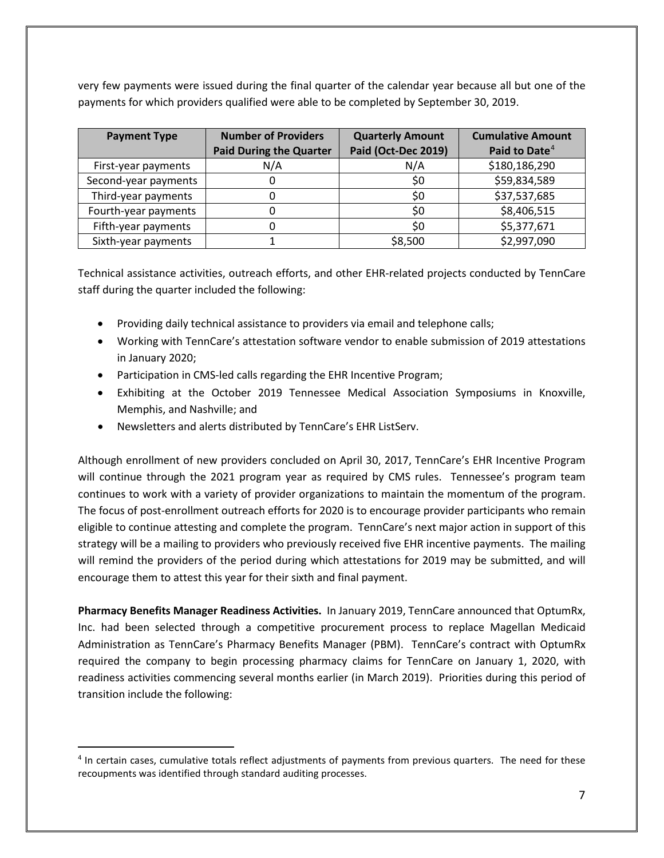very few payments were issued during the final quarter of the calendar year because all but one of the payments for which providers qualified were able to be completed by September 30, 2019.

| <b>Payment Type</b>  | <b>Number of Providers</b><br><b>Paid During the Quarter</b> | <b>Quarterly Amount</b><br>Paid (Oct-Dec 2019) | <b>Cumulative Amount</b><br>Paid to Date <sup>4</sup> |
|----------------------|--------------------------------------------------------------|------------------------------------------------|-------------------------------------------------------|
| First-year payments  | N/A                                                          | N/A                                            | \$180,186,290                                         |
| Second-year payments |                                                              | \$0                                            | \$59,834,589                                          |
| Third-year payments  |                                                              | \$0                                            | \$37,537,685                                          |
| Fourth-year payments |                                                              | \$0                                            | \$8,406,515                                           |
| Fifth-year payments  |                                                              | \$0                                            | \$5,377,671                                           |
| Sixth-year payments  |                                                              | \$8,500                                        | \$2,997,090                                           |

Technical assistance activities, outreach efforts, and other EHR-related projects conducted by TennCare staff during the quarter included the following:

- Providing daily technical assistance to providers via email and telephone calls;
- Working with TennCare's attestation software vendor to enable submission of 2019 attestations in January 2020;
- Participation in CMS-led calls regarding the EHR Incentive Program;
- Exhibiting at the October 2019 Tennessee Medical Association Symposiums in Knoxville, Memphis, and Nashville; and
- Newsletters and alerts distributed by TennCare's EHR ListServ.

Although enrollment of new providers concluded on April 30, 2017, TennCare's EHR Incentive Program will continue through the 2021 program year as required by CMS rules. Tennessee's program team continues to work with a variety of provider organizations to maintain the momentum of the program. The focus of post-enrollment outreach efforts for 2020 is to encourage provider participants who remain eligible to continue attesting and complete the program. TennCare's next major action in support of this strategy will be a mailing to providers who previously received five EHR incentive payments. The mailing will remind the providers of the period during which attestations for 2019 may be submitted, and will encourage them to attest this year for their sixth and final payment.

**Pharmacy Benefits Manager Readiness Activities.** In January 2019, TennCare announced that OptumRx, Inc. had been selected through a competitive procurement process to replace Magellan Medicaid Administration as TennCare's Pharmacy Benefits Manager (PBM). TennCare's contract with OptumRx required the company to begin processing pharmacy claims for TennCare on January 1, 2020, with readiness activities commencing several months earlier (in March 2019). Priorities during this period of transition include the following:

<span id="page-6-0"></span> <sup>4</sup> In certain cases, cumulative totals reflect adjustments of payments from previous quarters. The need for these recoupments was identified through standard auditing processes.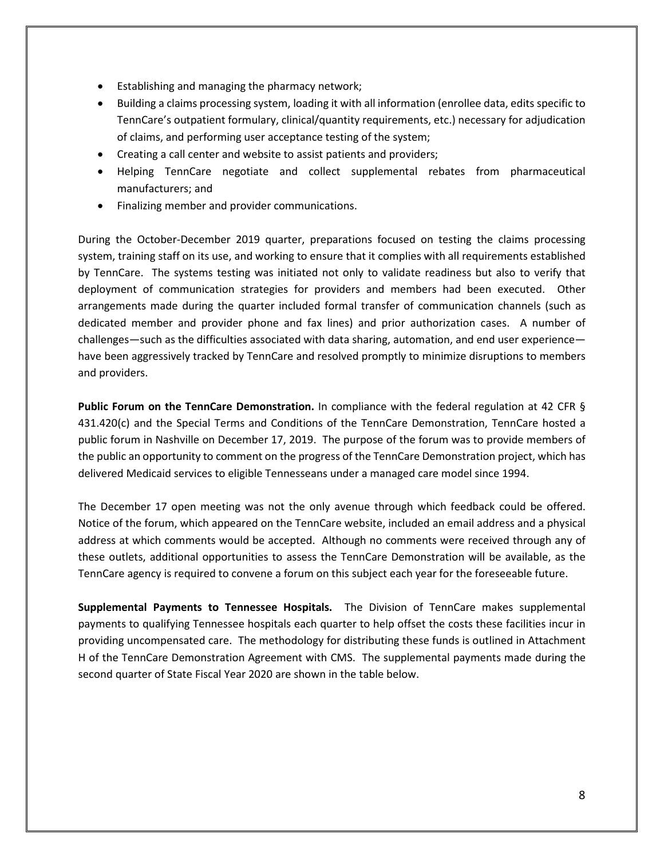- Establishing and managing the pharmacy network;
- Building a claims processing system, loading it with all information (enrollee data, edits specific to TennCare's outpatient formulary, clinical/quantity requirements, etc.) necessary for adjudication of claims, and performing user acceptance testing of the system;
- Creating a call center and website to assist patients and providers;
- Helping TennCare negotiate and collect supplemental rebates from pharmaceutical manufacturers; and
- Finalizing member and provider communications.

During the October-December 2019 quarter, preparations focused on testing the claims processing system, training staff on its use, and working to ensure that it complies with all requirements established by TennCare. The systems testing was initiated not only to validate readiness but also to verify that deployment of communication strategies for providers and members had been executed. Other arrangements made during the quarter included formal transfer of communication channels (such as dedicated member and provider phone and fax lines) and prior authorization cases. A number of challenges—such as the difficulties associated with data sharing, automation, and end user experience have been aggressively tracked by TennCare and resolved promptly to minimize disruptions to members and providers.

**Public Forum on the TennCare Demonstration.** In compliance with the federal regulation at 42 CFR § 431.420(c) and the Special Terms and Conditions of the TennCare Demonstration, TennCare hosted a public forum in Nashville on December 17, 2019. The purpose of the forum was to provide members of the public an opportunity to comment on the progress of the TennCare Demonstration project, which has delivered Medicaid services to eligible Tennesseans under a managed care model since 1994.

The December 17 open meeting was not the only avenue through which feedback could be offered. Notice of the forum, which appeared on the TennCare website, included an email address and a physical address at which comments would be accepted. Although no comments were received through any of these outlets, additional opportunities to assess the TennCare Demonstration will be available, as the TennCare agency is required to convene a forum on this subject each year for the foreseeable future.

**Supplemental Payments to Tennessee Hospitals.** The Division of TennCare makes supplemental payments to qualifying Tennessee hospitals each quarter to help offset the costs these facilities incur in providing uncompensated care. The methodology for distributing these funds is outlined in Attachment H of the TennCare Demonstration Agreement with CMS. The supplemental payments made during the second quarter of State Fiscal Year 2020 are shown in the table below.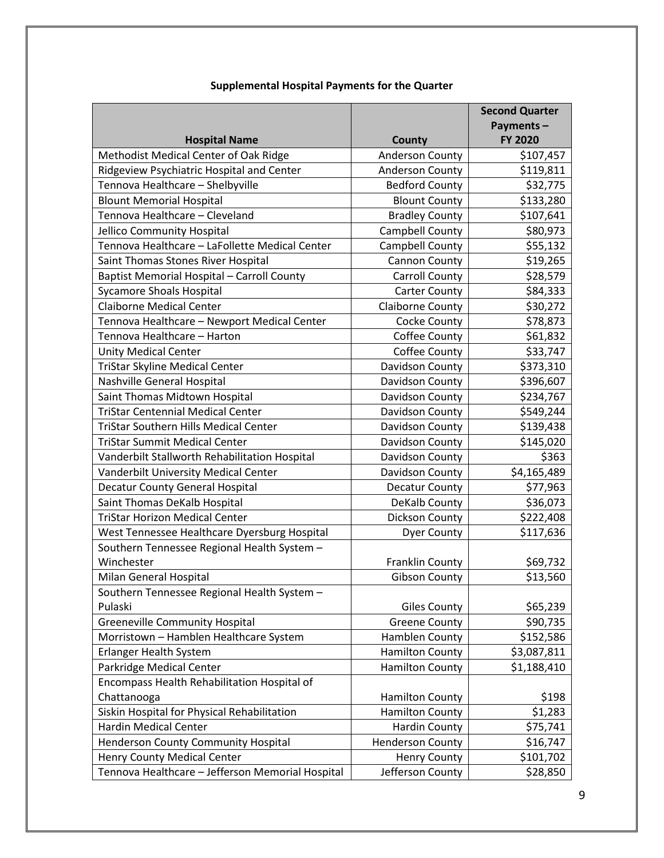|                                                  |                         | <b>Second Quarter</b> |
|--------------------------------------------------|-------------------------|-----------------------|
|                                                  |                         | Payments-             |
| <b>Hospital Name</b>                             | County                  | FY 2020               |
| Methodist Medical Center of Oak Ridge            | <b>Anderson County</b>  | \$107,457             |
| Ridgeview Psychiatric Hospital and Center        | Anderson County         | \$119,811             |
| Tennova Healthcare - Shelbyville                 | <b>Bedford County</b>   | \$32,775              |
| <b>Blount Memorial Hospital</b>                  | <b>Blount County</b>    | \$133,280             |
| Tennova Healthcare - Cleveland                   | <b>Bradley County</b>   | \$107,641             |
| Jellico Community Hospital                       | Campbell County         | \$80,973              |
| Tennova Healthcare - LaFollette Medical Center   | Campbell County         | \$55,132              |
| Saint Thomas Stones River Hospital               | Cannon County           | \$19,265              |
| Baptist Memorial Hospital - Carroll County       | <b>Carroll County</b>   | \$28,579              |
| <b>Sycamore Shoals Hospital</b>                  | <b>Carter County</b>    | \$84,333              |
| <b>Claiborne Medical Center</b>                  | Claiborne County        | \$30,272              |
| Tennova Healthcare - Newport Medical Center      | Cocke County            | \$78,873              |
| Tennova Healthcare - Harton                      | Coffee County           | \$61,832              |
| <b>Unity Medical Center</b>                      | Coffee County           | \$33,747              |
| <b>TriStar Skyline Medical Center</b>            | Davidson County         | \$373,310             |
| Nashville General Hospital                       | Davidson County         | \$396,607             |
| Saint Thomas Midtown Hospital                    | Davidson County         | \$234,767             |
| <b>TriStar Centennial Medical Center</b>         | Davidson County         | \$549,244             |
| TriStar Southern Hills Medical Center            | Davidson County         | \$139,438             |
| <b>TriStar Summit Medical Center</b>             | Davidson County         | \$145,020             |
| Vanderbilt Stallworth Rehabilitation Hospital    | Davidson County         | \$363                 |
| Vanderbilt University Medical Center             | Davidson County         | \$4,165,489           |
| <b>Decatur County General Hospital</b>           | Decatur County          | \$77,963              |
| Saint Thomas DeKalb Hospital                     | DeKalb County           | \$36,073              |
| <b>TriStar Horizon Medical Center</b>            | Dickson County          | \$222,408             |
| West Tennessee Healthcare Dyersburg Hospital     | <b>Dyer County</b>      | \$117,636             |
| Southern Tennessee Regional Health System -      |                         |                       |
| Winchester                                       | Franklin County         | \$69,732              |
| Milan General Hospital                           | <b>Gibson County</b>    | \$13,560              |
| Southern Tennessee Regional Health System -      |                         |                       |
| Pulaski                                          | <b>Giles County</b>     | \$65,239              |
| <b>Greeneville Community Hospital</b>            | <b>Greene County</b>    | \$90,735              |
| Morristown - Hamblen Healthcare System           | Hamblen County          | \$152,586             |
| Erlanger Health System                           | <b>Hamilton County</b>  | \$3,087,811           |
| Parkridge Medical Center                         | <b>Hamilton County</b>  | \$1,188,410           |
| Encompass Health Rehabilitation Hospital of      |                         |                       |
| Chattanooga                                      | <b>Hamilton County</b>  | \$198                 |
| Siskin Hospital for Physical Rehabilitation      | <b>Hamilton County</b>  | \$1,283               |
| <b>Hardin Medical Center</b>                     | <b>Hardin County</b>    | \$75,741              |
| Henderson County Community Hospital              | <b>Henderson County</b> | \$16,747              |
| <b>Henry County Medical Center</b>               | <b>Henry County</b>     | \$101,702             |
| Tennova Healthcare - Jefferson Memorial Hospital | Jefferson County        | \$28,850              |

#### **Supplemental Hospital Payments for the Quarter**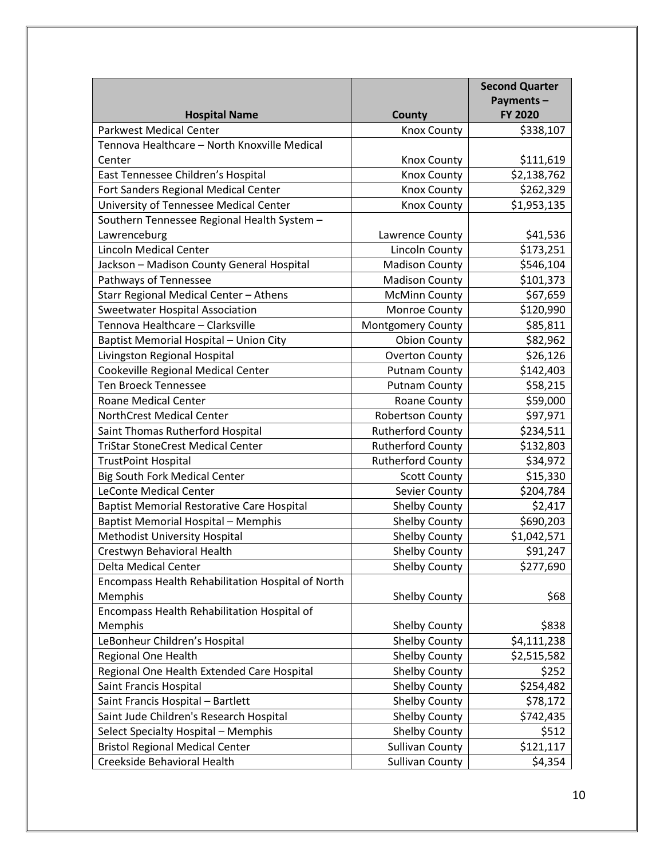|                                                   |                          | <b>Second Quarter</b> |
|---------------------------------------------------|--------------------------|-----------------------|
|                                                   |                          | Payments-             |
| <b>Hospital Name</b>                              | County                   | <b>FY 2020</b>        |
| Parkwest Medical Center                           | <b>Knox County</b>       | \$338,107             |
| Tennova Healthcare - North Knoxville Medical      |                          |                       |
| Center                                            | Knox County              | \$111,619             |
| East Tennessee Children's Hospital                | <b>Knox County</b>       | \$2,138,762           |
| Fort Sanders Regional Medical Center              | <b>Knox County</b>       | \$262,329             |
| University of Tennessee Medical Center            | <b>Knox County</b>       | \$1,953,135           |
| Southern Tennessee Regional Health System -       |                          |                       |
| Lawrenceburg                                      | Lawrence County          | \$41,536              |
| <b>Lincoln Medical Center</b>                     | Lincoln County           | \$173,251             |
| Jackson - Madison County General Hospital         | <b>Madison County</b>    | \$546,104             |
| Pathways of Tennessee                             | <b>Madison County</b>    | \$101,373             |
| Starr Regional Medical Center - Athens            | <b>McMinn County</b>     | \$67,659              |
| <b>Sweetwater Hospital Association</b>            | Monroe County            | \$120,990             |
| Tennova Healthcare - Clarksville                  | Montgomery County        | \$85,811              |
| Baptist Memorial Hospital - Union City            | <b>Obion County</b>      | \$82,962              |
| Livingston Regional Hospital                      | <b>Overton County</b>    | \$26,126              |
| Cookeville Regional Medical Center                | <b>Putnam County</b>     | \$142,403             |
| <b>Ten Broeck Tennessee</b>                       | <b>Putnam County</b>     | \$58,215              |
| Roane Medical Center                              | Roane County             | \$59,000              |
| <b>NorthCrest Medical Center</b>                  | <b>Robertson County</b>  | \$97,971              |
| Saint Thomas Rutherford Hospital                  | <b>Rutherford County</b> | \$234,511             |
| <b>TriStar StoneCrest Medical Center</b>          | <b>Rutherford County</b> | \$132,803             |
| <b>TrustPoint Hospital</b>                        | <b>Rutherford County</b> | \$34,972              |
| <b>Big South Fork Medical Center</b>              | <b>Scott County</b>      | \$15,330              |
| <b>LeConte Medical Center</b>                     | Sevier County            | \$204,784             |
| <b>Baptist Memorial Restorative Care Hospital</b> | <b>Shelby County</b>     | \$2,417               |
| <b>Baptist Memorial Hospital - Memphis</b>        | <b>Shelby County</b>     | \$690,203             |
| Methodist University Hospital                     | <b>Shelby County</b>     | \$1,042,571           |
| Crestwyn Behavioral Health                        | Shelby County            | \$91,247              |
| Delta Medical Center                              | <b>Shelby County</b>     | \$277,690             |
| Encompass Health Rehabilitation Hospital of North |                          |                       |
| Memphis                                           | <b>Shelby County</b>     | \$68                  |
| Encompass Health Rehabilitation Hospital of       |                          |                       |
| Memphis                                           | <b>Shelby County</b>     | \$838                 |
| LeBonheur Children's Hospital                     | Shelby County            | \$4,111,238           |
| Regional One Health                               | <b>Shelby County</b>     | \$2,515,582           |
| Regional One Health Extended Care Hospital        | <b>Shelby County</b>     | \$252                 |
| Saint Francis Hospital                            | Shelby County            | \$254,482             |
| Saint Francis Hospital - Bartlett                 | <b>Shelby County</b>     | \$78,172              |
| Saint Jude Children's Research Hospital           | Shelby County            | \$742,435             |
| Select Specialty Hospital - Memphis               | <b>Shelby County</b>     | \$512                 |
| <b>Bristol Regional Medical Center</b>            | <b>Sullivan County</b>   | \$121,117             |
| Creekside Behavioral Health                       | <b>Sullivan County</b>   | \$4,354               |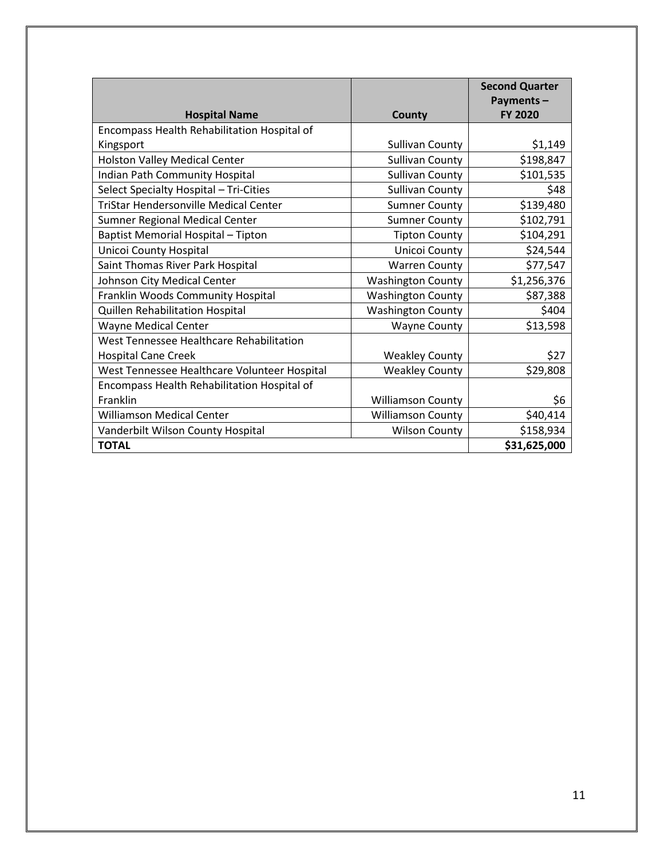|                                              |                          | <b>Second Quarter</b>       |
|----------------------------------------------|--------------------------|-----------------------------|
| <b>Hospital Name</b>                         | County                   | Payments-<br><b>FY 2020</b> |
| Encompass Health Rehabilitation Hospital of  |                          |                             |
| Kingsport                                    | <b>Sullivan County</b>   | \$1,149                     |
| <b>Holston Valley Medical Center</b>         | <b>Sullivan County</b>   | \$198,847                   |
| Indian Path Community Hospital               | <b>Sullivan County</b>   | \$101,535                   |
| Select Specialty Hospital - Tri-Cities       | <b>Sullivan County</b>   | \$48                        |
| <b>TriStar Hendersonville Medical Center</b> | <b>Sumner County</b>     | \$139,480                   |
| Sumner Regional Medical Center               | <b>Sumner County</b>     | \$102,791                   |
| Baptist Memorial Hospital - Tipton           | <b>Tipton County</b>     | \$104,291                   |
| Unicoi County Hospital                       | Unicoi County            | \$24,544                    |
| Saint Thomas River Park Hospital             | <b>Warren County</b>     | \$77,547                    |
| Johnson City Medical Center                  | <b>Washington County</b> | \$1,256,376                 |
| Franklin Woods Community Hospital            | <b>Washington County</b> | \$87,388                    |
| Quillen Rehabilitation Hospital              | <b>Washington County</b> | \$404                       |
| <b>Wayne Medical Center</b>                  | <b>Wayne County</b>      | \$13,598                    |
| West Tennessee Healthcare Rehabilitation     |                          |                             |
| <b>Hospital Cane Creek</b>                   | <b>Weakley County</b>    | \$27                        |
| West Tennessee Healthcare Volunteer Hospital | <b>Weakley County</b>    | \$29,808                    |
| Encompass Health Rehabilitation Hospital of  |                          |                             |
| Franklin                                     | <b>Williamson County</b> | \$6                         |
| Williamson Medical Center                    | <b>Williamson County</b> | \$40,414                    |
| Vanderbilt Wilson County Hospital            | <b>Wilson County</b>     | \$158,934                   |
| <b>TOTAL</b>                                 |                          | \$31,625,000                |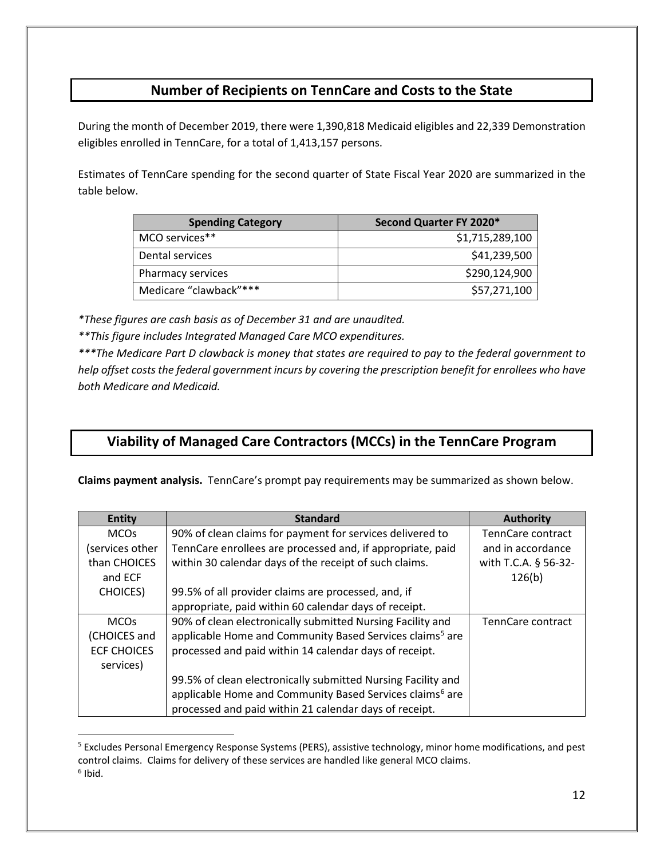#### **Number of Recipients on TennCare and Costs to the State**

During the month of December 2019, there were 1,390,818 Medicaid eligibles and 22,339 Demonstration eligibles enrolled in TennCare, for a total of 1,413,157 persons.

Estimates of TennCare spending for the second quarter of State Fiscal Year 2020 are summarized in the table below.

| <b>Spending Category</b> | Second Quarter FY 2020* |
|--------------------------|-------------------------|
| MCO services**           | \$1,715,289,100         |
| Dental services          | \$41,239,500            |
| Pharmacy services        | \$290,124,900           |
| Medicare "clawback"***   | \$57,271,100            |

*\*These figures are cash basis as of December 31 and are unaudited.*

*\*\*This figure includes Integrated Managed Care MCO expenditures.*

*\*\*\*The Medicare Part D clawback is money that states are required to pay to the federal government to help offset costs the federal government incurs by covering the prescription benefit for enrollees who have both Medicare and Medicaid.*

### **Viability of Managed Care Contractors (MCCs) in the TennCare Program**

**Claims payment analysis.** TennCare's prompt pay requirements may be summarized as shown below.

| <b>Entity</b>      | <b>Standard</b>                                                      | <b>Authority</b>     |
|--------------------|----------------------------------------------------------------------|----------------------|
| <b>MCOs</b>        | 90% of clean claims for payment for services delivered to            | TennCare contract    |
| services other)    | TennCare enrollees are processed and, if appropriate, paid           | and in accordance    |
| than CHOICES       | within 30 calendar days of the receipt of such claims.               | with T.C.A. § 56-32- |
| and ECF            |                                                                      | 126(b)               |
| <b>CHOICES</b> )   | 99.5% of all provider claims are processed, and, if                  |                      |
|                    | appropriate, paid within 60 calendar days of receipt.                |                      |
| <b>MCOs</b>        | 90% of clean electronically submitted Nursing Facility and           | TennCare contract    |
| (CHOICES and       | applicable Home and Community Based Services claims <sup>5</sup> are |                      |
| <b>ECF CHOICES</b> | processed and paid within 14 calendar days of receipt.               |                      |
| services)          |                                                                      |                      |
|                    | 99.5% of clean electronically submitted Nursing Facility and         |                      |
|                    | applicable Home and Community Based Services claims <sup>6</sup> are |                      |
|                    | processed and paid within 21 calendar days of receipt.               |                      |

<span id="page-11-1"></span><span id="page-11-0"></span> <sup>5</sup> Excludes Personal Emergency Response Systems (PERS), assistive technology, minor home modifications, and pest control claims. Claims for delivery of these services are handled like general MCO claims.  $6$  Ibid.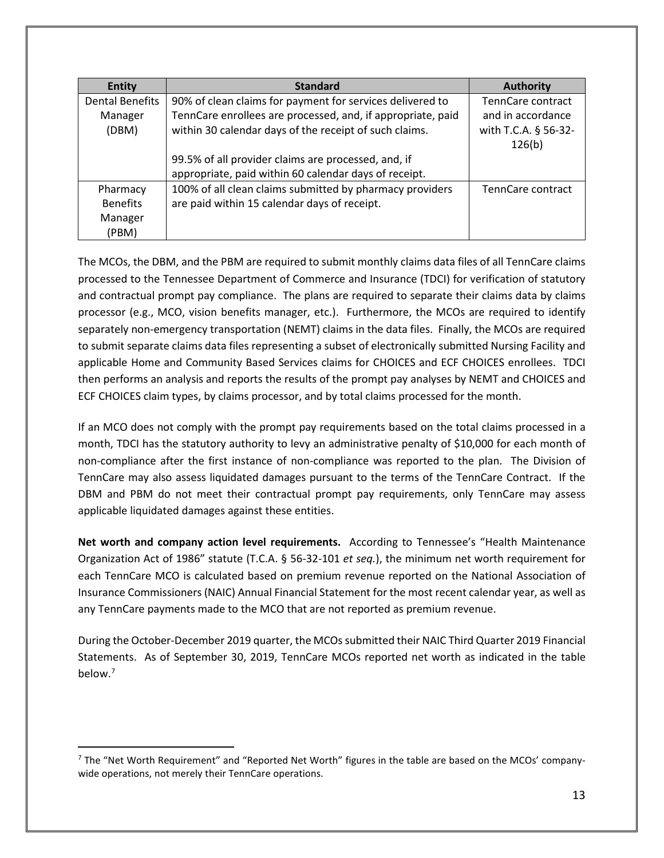| <b>Entity</b>          | <b>Standard</b>                                             | <b>Authority</b>     |
|------------------------|-------------------------------------------------------------|----------------------|
| <b>Dental Benefits</b> | 90% of clean claims for payment for services delivered to   | TennCare contract    |
| Manager                | TennCare enrollees are processed, and, if appropriate, paid | and in accordance    |
| (DBM)                  | within 30 calendar days of the receipt of such claims.      | with T.C.A. § 56-32- |
|                        |                                                             | 126(b)               |
|                        | 99.5% of all provider claims are processed, and, if         |                      |
|                        | appropriate, paid within 60 calendar days of receipt.       |                      |
| Pharmacy               | 100% of all clean claims submitted by pharmacy providers    | TennCare contract    |
| <b>Benefits</b>        | are paid within 15 calendar days of receipt.                |                      |
| Manager                |                                                             |                      |
| (PBM)                  |                                                             |                      |

The MCOs, the DBM, and the PBM are required to submit monthly claims data files of all TennCare claims processed to the Tennessee Department of Commerce and Insurance (TDCI) for verification of statutory and contractual prompt pay compliance. The plans are required to separate their claims data by claims processor (e.g., MCO, vision benefits manager, etc.). Furthermore, the MCOs are required to identify separately non-emergency transportation (NEMT) claims in the data files. Finally, the MCOs are required to submit separate claims data files representing a subset of electronically submitted Nursing Facility and applicable Home and Community Based Services claims for CHOICES and ECF CHOICES enrollees. TDCI then performs an analysis and reports the results of the prompt pay analyses by NEMT and CHOICES and ECF CHOICES claim types, by claims processor, and by total claims processed for the month.

If an MCO does not comply with the prompt pay requirements based on the total claims processed in a month, TDCI has the statutory authority to levy an administrative penalty of \$10,000 for each month of non-compliance after the first instance of non-compliance was reported to the plan. The Division of TennCare may also assess liquidated damages pursuant to the terms of the TennCare Contract. If the DBM and PBM do not meet their contractual prompt pay requirements, only TennCare may assess applicable liquidated damages against these entities.

**Net worth and company action level requirements.** According to Tennessee's "Health Maintenance Organization Act of 1986" statute (T.C.A. § 56-32-101 *et seq.*), the minimum net worth requirement for each TennCare MCO is calculated based on premium revenue reported on the National Association of Insurance Commissioners (NAIC) Annual Financial Statement for the most recent calendar year, as well as any TennCare payments made to the MCO that are not reported as premium revenue.

During the October-December 2019 quarter, the MCOs submitted their NAIC Third Quarter 2019 Financial Statements. As of September 30, 2019, TennCare MCOs reported net worth as indicated in the table below.<sup>[7](#page-12-0)</sup>

<span id="page-12-0"></span> $<sup>7</sup>$  The "Net Worth Requirement" and "Reported Net Worth" figures in the table are based on the MCOs' company-</sup> wide operations, not merely their TennCare operations.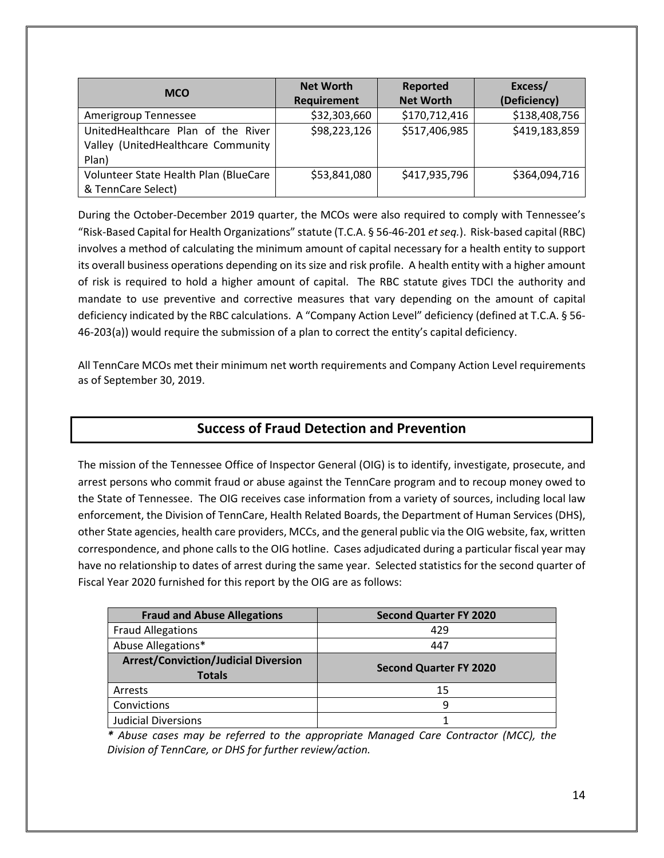| <b>MCO</b>                            | <b>Net Worth</b> | <b>Reported</b>  | Excess/       |
|---------------------------------------|------------------|------------------|---------------|
|                                       | Requirement      | <b>Net Worth</b> | (Deficiency)  |
| Amerigroup Tennessee                  | \$32,303,660     | \$170,712,416    | \$138,408,756 |
| UnitedHealthcare Plan of the River    | \$98,223,126     | \$517,406,985    | \$419,183,859 |
| Valley (UnitedHealthcare Community    |                  |                  |               |
| Plan)                                 |                  |                  |               |
| Volunteer State Health Plan (BlueCare | \$53,841,080     | \$417,935,796    | \$364,094,716 |
| & TennCare Select)                    |                  |                  |               |

During the October-December 2019 quarter, the MCOs were also required to comply with Tennessee's "Risk-Based Capital for Health Organizations" statute (T.C.A. § 56-46-201 *et seq.*). Risk-based capital (RBC) involves a method of calculating the minimum amount of capital necessary for a health entity to support its overall business operations depending on its size and risk profile. A health entity with a higher amount of risk is required to hold a higher amount of capital. The RBC statute gives TDCI the authority and mandate to use preventive and corrective measures that vary depending on the amount of capital deficiency indicated by the RBC calculations. A "Company Action Level" deficiency (defined at T.C.A. § 56- 46-203(a)) would require the submission of a plan to correct the entity's capital deficiency.

All TennCare MCOs met their minimum net worth requirements and Company Action Level requirements as of September 30, 2019.

#### **Success of Fraud Detection and Prevention**

The mission of the Tennessee Office of Inspector General (OIG) is to identify, investigate, prosecute, and arrest persons who commit fraud or abuse against the TennCare program and to recoup money owed to the State of Tennessee.The OIG receives case information from a variety of sources, including local law enforcement, the Division of TennCare, Health Related Boards, the Department of Human Services (DHS), other State agencies, health care providers, MCCs, and the general public via the OIG website, fax, written correspondence, and phone calls to the OIG hotline. Cases adjudicated during a particular fiscal year may have no relationship to dates of arrest during the same year. Selected statistics for the second quarter of Fiscal Year 2020 furnished for this report by the OIG are as follows:

| <b>Fraud and Abuse Allegations</b>                           | <b>Second Quarter FY 2020</b> |
|--------------------------------------------------------------|-------------------------------|
| <b>Fraud Allegations</b>                                     | 429                           |
| Abuse Allegations*                                           | 447                           |
| <b>Arrest/Conviction/Judicial Diversion</b><br><b>Totals</b> | <b>Second Quarter FY 2020</b> |
| Arrests                                                      | 15                            |
| Convictions                                                  | q                             |
| <b>Judicial Diversions</b>                                   |                               |

*\* Abuse cases may be referred to the appropriate Managed Care Contractor (MCC), the Division of TennCare, or DHS for further review/action.*